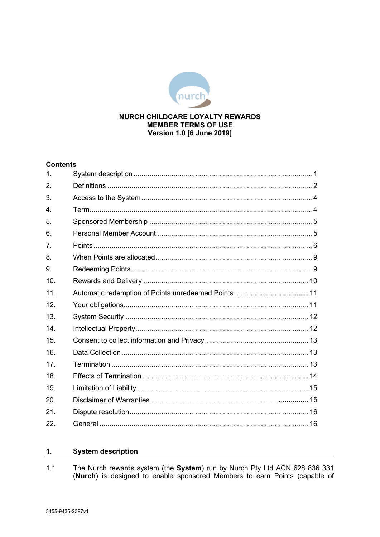

# **Version 1.0 [6 June 2019]**

# **Contents**

| 1.              |  |
|-----------------|--|
| 2.              |  |
| 3.              |  |
| $\mathbf{4}$ .  |  |
| 5.              |  |
| 6.              |  |
| 7 <sub>1</sub>  |  |
| 8.              |  |
| 9.              |  |
| 10.             |  |
| 11.             |  |
| 12.             |  |
| 13.             |  |
| 14.             |  |
| 15.             |  |
| 16.             |  |
| 17 <sub>1</sub> |  |
| 18.             |  |
| 19.             |  |
| 20.             |  |
| 21.             |  |
| 22.             |  |

#### <span id="page-0-0"></span> $1.$ **System description**

The Nurch rewards system (the System) run by Nurch Pty Ltd ACN 628 836 331 (Nurch) is designed to enable sponsored Members to earn Points (capable of  $1.1$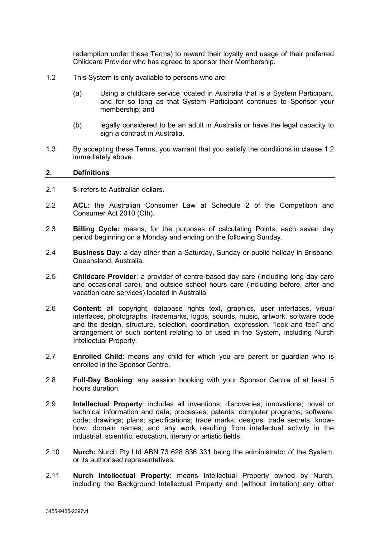redemption under these Terms) to reward their loyalty and usage of their preferred Childcare Provider who has agreed to sponsor their Membership.

- <span id="page-1-1"></span>1.2 This System is only available to persons who are:
	- (a) Using a childcare service located in Australia that is a System Participant, and for so long as that System Participant continues to Sponsor your membership; and
	- (b) legally considered to be an adult in Australia or have the legal capacity to sign a contract in Australia.
- 1.3 By accepting these Terms, you warrant that you satisfy the conditions in clause [1.2](#page-1-1) immediately above.

#### <span id="page-1-0"></span>**2. Definitions**

- 2.1 **\$**: refers to Australian dollars.
- 2.2 **ACL**: the Australian Consumer Law at Schedule 2 of the Competition and Consumer Act 2010 (Cth).
- 2.3 **Billing Cycle:** means, for the purposes of calculating Points, each seven day period beginning on a Monday and ending on the following Sunday.
- 2.4 **Business Day**: a day other than a Saturday, Sunday or public holiday in Brisbane, Queensland, Australia.
- 2.5 **Childcare Provider**: a provider of centre based day care (including long day care and occasional care), and outside school hours care (including before, after and vacation care services) located in Australia.
- 2.6 **Content:** all copyright, database rights text, graphics, user interfaces, visual interfaces, photographs, trademarks, logos, sounds, music, artwork, software code and the design, structure, selection, coordination, expression, "look and feel" and arrangement of such content relating to or used in the System, including Nurch Intellectual Property.
- 2.7 **Enrolled Child**: means any child for which you are parent or guardian who is enrolled in the Sponsor Centre.
- 2.8 **Full**-**Day Booking**: any session booking with your Sponsor Centre of at least 5 hours duration.
- 2.9 **Intellectual Property**: includes all inventions; discoveries; innovations; novel or technical information and data; processes; patents; computer programs; software; code; drawings; plans; specifications; trade marks; designs; trade secrets; knowhow; domain names; and any work resulting from intellectual activity in the industrial, scientific, education, literary or artistic fields.
- 2.10 **Nurch:** Nurch Pty Ltd ABN 73 628 836 331 being the administrator of the System, or its authorised representatives.
- 2.11 **Nurch Intellectual Property**: means Intellectual Property owned by Nurch, including the Background Intellectual Property and (without limitation) any other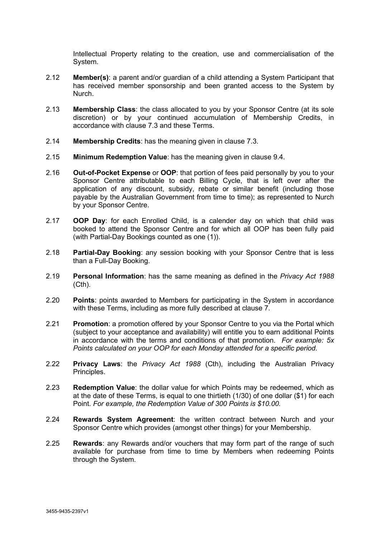Intellectual Property relating to the creation, use and commercialisation of the System.

- 2.12 **Member(s)**: a parent and/or guardian of a child attending a System Participant that has received member sponsorship and been granted access to the System by Nurch.
- 2.13 **Membership Class**: the class allocated to you by your Sponsor Centre (at its sole discretion) or by your continued accumulation of Membership Credits, in accordance with clause [7.3](#page-6-0) and these Terms.
- 2.14 **Membership Credits**: has the meaning given in clause [7.3.](#page-6-0)
- 2.15 **Minimum Redemption Value**: has the meaning given in clause [9.4.](#page-8-2)
- 2.16 **Out-of-Pocket Expense** or **OOP**: that portion of fees paid personally by you to your Sponsor Centre attributable to each Billing Cycle, that is left over after the application of any discount, subsidy, rebate or similar benefit (including those payable by the Australian Government from time to time); as represented to Nurch by your Sponsor Centre.
- 2.17 **OOP Day**: for each Enrolled Child, is a calender day on which that child was booked to attend the Sponsor Centre and for which all OOP has been fully paid (with Partial-Day Bookings counted as one (1)).
- 2.18 **Partial-Day Booking**: any session booking with your Sponsor Centre that is less than a Full-Day Booking.
- 2.19 **Personal Information**: has the same meaning as defined in the *Privacy Act 1988* (Cth).
- 2.20 **Points**: points awarded to Members for participating in the System in accordance with these Terms, including as more fully described at clause [7.](#page-5-0)
- 2.21 **Promotion**: a promotion offered by your Sponsor Centre to you via the Portal which (subject to your acceptance and availability) will entitle you to earn additional Points in accordance with the terms and conditions of that promotion. *For example: 5x Points calculated on your OOP for each Monday attended for a specific period.*
- 2.22 **Privacy Laws**: the *Privacy Act 1988* (Cth), including the Australian Privacy Principles.
- 2.23 **Redemption Value**: the dollar value for which Points may be redeemed, which as at the date of these Terms, is equal to one thirtieth (1/30) of one dollar (\$1) for each Point. *For example, the Redemption Value of 300 Points is \$10.00.*
- 2.24 **Rewards System Agreement**: the written contract between Nurch and your Sponsor Centre which provides (amongst other things) for your Membership.
- 2.25 **Rewards**: any Rewards and/or vouchers that may form part of the range of such available for purchase from time to time by Members when redeeming Points through the System.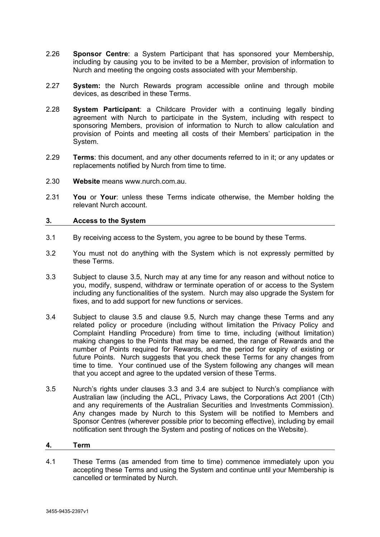- 2.26 **Sponsor Centre**: a System Participant that has sponsored your Membership, including by causing you to be invited to be a Member, provision of information to Nurch and meeting the ongoing costs associated with your Membership.
- 2.27 **System:** the Nurch Rewards program accessible online and through mobile devices, as described in these Terms.
- 2.28 **System Participant**: a Childcare Provider with a continuing legally binding agreement with Nurch to participate in the System, including with respect to sponsoring Members, provision of information to Nurch to allow calculation and provision of Points and meeting all costs of their Members' participation in the System.
- 2.29 **Terms**: this document, and any other documents referred to in it; or any updates or replacements notified by Nurch from time to time.
- 2.30 **Website** means www.nurch.com.au.
- 2.31 **You** or **Your**: unless these Terms indicate otherwise, the Member holding the relevant Nurch account.

# <span id="page-3-0"></span>**3. Access to the System**

- 3.1 By receiving access to the System, you agree to be bound by these Terms.
- 3.2 You must not do anything with the System which is not expressly permitted by these Terms.
- <span id="page-3-3"></span>3.3 Subject to clause [3.5,](#page-3-2) Nurch may at any time for any reason and without notice to you, modify, suspend, withdraw or terminate operation of or access to the System including any functionalities of the system. Nurch may also upgrade the System for fixes, and to add support for new functions or services.
- <span id="page-3-4"></span>3.4 Subject to clause [3.5](#page-3-2) and clause [9.5,](#page-8-3) Nurch may change these Terms and any related policy or procedure (including without limitation the Privacy Policy and Complaint Handling Procedure) from time to time, including (without limitation) making changes to the Points that may be earned, the range of Rewards and the number of Points required for Rewards, and the period for expiry of existing or future Points. Nurch suggests that you check these Terms for any changes from time to time. Your continued use of the System following any changes will mean that you accept and agree to the updated version of these Terms.
- <span id="page-3-2"></span>3.5 Nurch's rights under clauses [3.3](#page-3-3) and [3.4](#page-3-4) are subject to Nurch's compliance with Australian law (including the ACL, Privacy Laws, the Corporations Act 2001 (Cth) and any requirements of the Australian Securities and Investments Commission). Any changes made by Nurch to this System will be notified to Members and Sponsor Centres (wherever possible prior to becoming effective), including by email notification sent through the System and posting of notices on the Website).

### <span id="page-3-1"></span>**4. Term**

4.1 These Terms (as amended from time to time) commence immediately upon you accepting these Terms and using the System and continue until your Membership is cancelled or terminated by Nurch.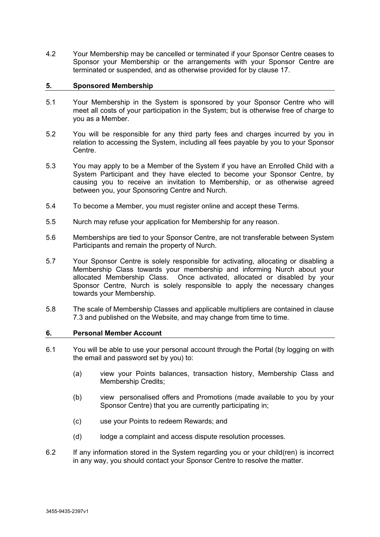4.2 Your Membership may be cancelled or terminated if your Sponsor Centre ceases to Sponsor your Membership or the arrangements with your Sponsor Centre are terminated or suspended, and as otherwise provided for by clause [17.](#page-12-2)

# <span id="page-4-0"></span>**5. Sponsored Membership**

- 5.1 Your Membership in the System is sponsored by your Sponsor Centre who will meet all costs of your participation in the System; but is otherwise free of charge to you as a Member.
- 5.2 You will be responsible for any third party fees and charges incurred by you in relation to accessing the System, including all fees payable by you to your Sponsor Centre.
- 5.3 You may apply to be a Member of the System if you have an Enrolled Child with a System Participant and they have elected to become your Sponsor Centre, by causing you to receive an invitation to Membership, or as otherwise agreed between you, your Sponsoring Centre and Nurch.
- 5.4 To become a Member, you must register online and accept these Terms.
- 5.5 Nurch may refuse your application for Membership for any reason.
- 5.6 Memberships are tied to your Sponsor Centre, are not transferable between System Participants and remain the property of Nurch.
- 5.7 Your Sponsor Centre is solely responsible for activating, allocating or disabling a Membership Class towards your membership and informing Nurch about your allocated Membership Class. Once activated, allocated or disabled by your Sponsor Centre, Nurch is solely responsible to apply the necessary changes towards your Membership.
- 5.8 The scale of Membership Classes and applicable multipliers are contained in clause [7.3](#page-6-0) and published on the Website, and may change from time to time.

### <span id="page-4-1"></span>**6. Personal Member Account**

- 6.1 You will be able to use your personal account through the Portal (by logging on with the email and password set by you) to:
	- (a) view your Points balances, transaction history, Membership Class and Membership Credits;
	- (b) view personalised offers and Promotions (made available to you by your Sponsor Centre) that you are currently participating in;
	- (c) use your Points to redeem Rewards; and
	- (d) lodge a complaint and access dispute resolution processes.
- 6.2 If any information stored in the System regarding you or your child(ren) is incorrect in any way, you should contact your Sponsor Centre to resolve the matter.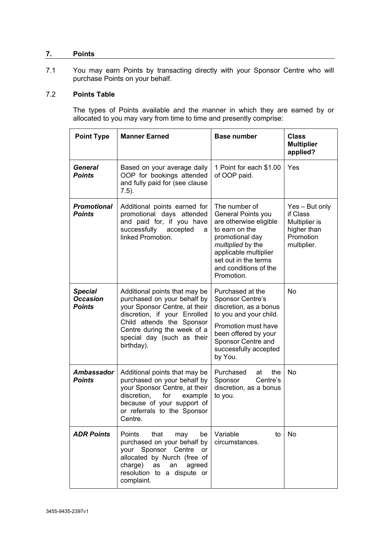# <span id="page-5-0"></span>**7. Points**

7.1 You may earn Points by transacting directly with your Sponsor Centre who will purchase Points on your behalf.

# <span id="page-5-1"></span>7.2 **Points Table**

The types of Points available and the manner in which they are earned by or allocated to you may vary from time to time and presently comprise:

| <b>Point Type</b>                                  | <b>Manner Earned</b>                                                                                                                                                                                                                                                                                                                                         | <b>Base number</b>                                                                                                                                                                                | <b>Class</b><br><b>Multiplier</b><br>applied?                                          |
|----------------------------------------------------|--------------------------------------------------------------------------------------------------------------------------------------------------------------------------------------------------------------------------------------------------------------------------------------------------------------------------------------------------------------|---------------------------------------------------------------------------------------------------------------------------------------------------------------------------------------------------|----------------------------------------------------------------------------------------|
| <b>General</b><br><b>Points</b>                    | Based on your average daily<br>OOP for bookings attended<br>and fully paid for (see clause<br>$7.5$ ).                                                                                                                                                                                                                                                       | 1 Point for each \$1.00<br>of OOP paid.                                                                                                                                                           |                                                                                        |
| <b>Promotional</b><br><b>Points</b>                | The number of<br>Additional points earned for<br>promotional days attended<br>General Points you<br>and paid for, if you have<br>are otherwise eligible<br>successfully accepted<br>to earn on the<br>a<br>linked Promotion.<br>promotional day<br>multiplied by the<br>applicable multiplier<br>set out in the terms<br>and conditions of the<br>Promotion. |                                                                                                                                                                                                   | Yes - But only<br>if Class<br>Multiplier is<br>higher than<br>Promotion<br>multiplier. |
| <b>Special</b><br><b>Occasion</b><br><b>Points</b> | Additional points that may be<br>purchased on your behalf by<br>your Sponsor Centre, at their<br>discretion, if your Enrolled<br>Child attends the Sponsor<br>Centre during the week of a<br>special day (such as their<br>birthday).                                                                                                                        | Purchased at the<br>Sponsor Centre's<br>discretion, as a bonus<br>to you and your child.<br>Promotion must have<br>been offered by your<br>Sponsor Centre and<br>successfully accepted<br>by You. | No                                                                                     |
| Ambassador<br><b>Points</b>                        | Additional points that may be<br>purchased on your behalf by<br>your Sponsor Centre, at their<br>discretion,<br>for<br>example<br>because of your support of<br>or referrals to the Sponsor<br>Centre.                                                                                                                                                       | Purchased<br>the<br>at<br>Sponsor<br>Centre's<br>discretion, as a bonus<br>to you.                                                                                                                | No                                                                                     |
| <b>ADR Points</b>                                  | Points<br>that<br>be<br>may<br>purchased on your behalf by<br>your Sponsor Centre<br><b>or</b><br>allocated by Nurch (free of<br>charge)<br>an agreed<br>as<br>resolution to a dispute or<br>complaint.                                                                                                                                                      | Variable<br>to<br>circumstances.                                                                                                                                                                  | No                                                                                     |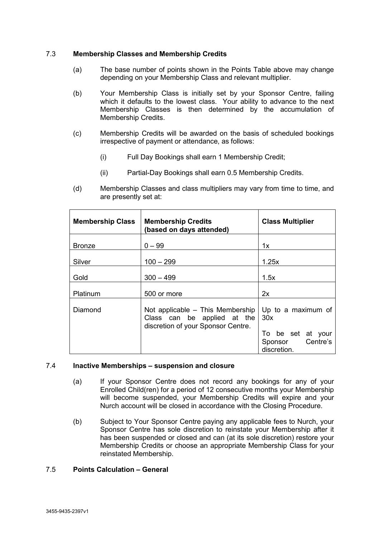# <span id="page-6-0"></span>7.3 **Membership Classes and Membership Credits**

- (a) The base number of points shown in the Points Table above may change depending on your Membership Class and relevant multiplier.
- (b) Your Membership Class is initially set by your Sponsor Centre, failing which it defaults to the lowest class. Your ability to advance to the next Membership Classes is then determined by the accumulation of Membership Credits.
- (c) Membership Credits will be awarded on the basis of scheduled bookings irrespective of payment or attendance, as follows:
	- (i) Full Day Bookings shall earn 1 Membership Credit;
	- (ii) Partial-Day Bookings shall earn 0.5 Membership Credits.
- (d) Membership Classes and class multipliers may vary from time to time, and are presently set at:

| <b>Membership Class</b> | <b>Membership Credits</b><br>(based on days attended)                                                   | <b>Class Multiplier</b>                                                              |
|-------------------------|---------------------------------------------------------------------------------------------------------|--------------------------------------------------------------------------------------|
| <b>Bronze</b>           | $0 - 99$                                                                                                | 1x                                                                                   |
| Silver                  | $100 - 299$                                                                                             | 1.25x                                                                                |
| Gold                    | $300 - 499$                                                                                             | 1.5x                                                                                 |
| Platinum                | 500 or more                                                                                             | 2x                                                                                   |
| Diamond                 | Not applicable $-$ This Membership<br>Class can be applied at the<br>discretion of your Sponsor Centre. | Up to a maximum of<br>30x<br>To be set at your<br>Centre's<br>Sponsor<br>discretion. |

### <span id="page-6-2"></span>7.4 **Inactive Memberships – suspension and closure**

- (a) If your Sponsor Centre does not record any bookings for any of your Enrolled Child(ren) for a period of 12 consecutive months your Membership will become suspended, your Membership Credits will expire and your Nurch account will be closed in accordance with the Closing Procedure.
- (b) Subject to Your Sponsor Centre paying any applicable fees to Nurch, your Sponsor Centre has sole discretion to reinstate your Membership after it has been suspended or closed and can (at its sole discretion) restore your Membership Credits or choose an appropriate Membership Class for your reinstated Membership.

### <span id="page-6-1"></span>7.5 **Points Calculation – General**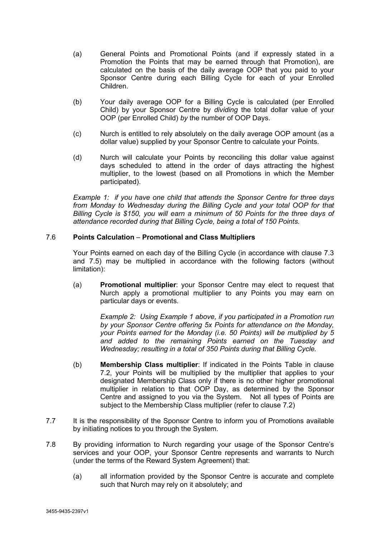- (a) General Points and Promotional Points (and if expressly stated in a Promotion the Points that may be earned through that Promotion), are calculated on the basis of the daily average OOP that you paid to your Sponsor Centre during each Billing Cycle for each of your Enrolled Children.
- (b) Your daily average OOP for a Billing Cycle is calculated (per Enrolled Child) by your Sponsor Centre by *dividing* the total dollar value of your OOP (per Enrolled Child) *by* the number of OOP Days.
- (c) Nurch is entitled to rely absolutely on the daily average OOP amount (as a dollar value) supplied by your Sponsor Centre to calculate your Points.
- (d) Nurch will calculate your Points by reconciling this dollar value against days scheduled to attend in the order of days attracting the highest multiplier, to the lowest (based on all Promotions in which the Member participated).

*Example 1: if you have one child that attends the Sponsor Centre for three days from Monday to Wednesday during the Billing Cycle and your total OOP for that Billing Cycle is \$150, you will earn a minimum of 50 Points for the three days of attendance recorded during that Billing Cycle, being a total of 150 Points.*

# 7.6 **Points Calculation** – **Promotional and Class Multipliers**

Your Points earned on each day of the Billing Cycle (in accordance with clause [7.3](#page-6-0) and [7.5\)](#page-6-1) may be multiplied in accordance with the following factors (without limitation):

(a) **Promotional multiplier**: your Sponsor Centre may elect to request that Nurch apply a promotional multiplier to any Points you may earn on particular days or events.

> *Example 2: Using Example 1 above, if you participated in a Promotion run by your Sponsor Centre offering 5x Points for attendance on the Monday, your Points earned for the Monday (i.e. 50 Points) will be multiplied by 5 and added to the remaining Points earned on the Tuesday and Wednesday; resulting in a total of 350 Points during that Billing Cycle.*

- (b) **Membership Class multiplier**: If indicated in the Points Table in clause [7.2,](#page-5-1) your Points will be multiplied by the multiplier that applies to your designated Membership Class only if there is no other higher promotional multiplier in relation to that OOP Day, as determined by the Sponsor Centre and assigned to you via the System. Not all types of Points are subject to the Membership Class multiplier (refer to clause [7.2\)](#page-5-1)
- 7.7 It is the responsibility of the Sponsor Centre to inform you of Promotions available by initiating notices to you through the System.
- 7.8 By providing information to Nurch regarding your usage of the Sponsor Centre's services and your OOP, your Sponsor Centre represents and warrants to Nurch (under the terms of the Reward System Agreement) that:
	- (a) all information provided by the Sponsor Centre is accurate and complete such that Nurch may rely on it absolutely; and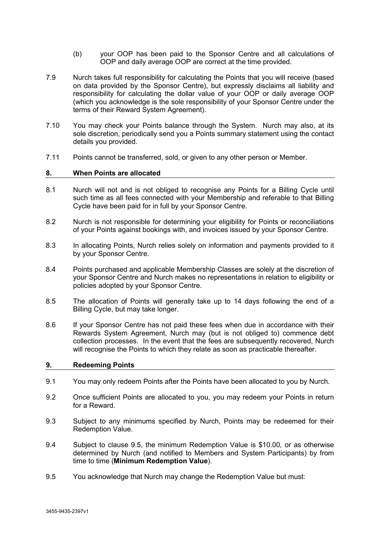- (b) your OOP has been paid to the Sponsor Centre and all calculations of OOP and daily average OOP are correct at the time provided.
- 7.9 Nurch takes full responsibility for calculating the Points that you will receive (based on data provided by the Sponsor Centre), but expressly disclaims all liability and responsibility for calculating the dollar value of your OOP or daily average OOP (which you acknowledge is the sole responsibility of your Sponsor Centre under the terms of their Reward System Agreement).
- 7.10 You may check your Points balance through the System. Nurch may also, at its sole discretion, periodically send you a Points summary statement using the contact details you provided.
- <span id="page-8-0"></span>7.11 Points cannot be transferred, sold, or given to any other person or Member.

#### **8. When Points are allocated**

- 8.1 Nurch will not and is not obliged to recognise any Points for a Billing Cycle until such time as all fees connected with your Membership and referable to that Billing Cycle have been paid for in full by your Sponsor Centre.
- 8.2 Nurch is not responsible for determining your eligibility for Points or reconciliations of your Points against bookings with, and invoices issued by your Sponsor Centre.
- 8.3 In allocating Points, Nurch relies solely on information and payments provided to it by your Sponsor Centre.
- 8.4 Points purchased and applicable Membership Classes are solely at the discretion of your Sponsor Centre and Nurch makes no representations in relation to eligibility or policies adopted by your Sponsor Centre.
- 8.5 The allocation of Points will generally take up to 14 days following the end of a Billing Cycle, but may take longer.
- <span id="page-8-4"></span>8.6 If your Sponsor Centre has not paid these fees when due in accordance with their Rewards System Agreement, Nurch may (but is not obliged to) commence debt collection processes. In the event that the fees are subsequently recovered, Nurch will recognise the Points to which they relate as soon as practicable thereafter.

### <span id="page-8-1"></span>**9. Redeeming Points**

- 9.1 You may only redeem Points after the Points have been allocated to you by Nurch.
- 9.2 Once sufficient Points are allocated to you, you may redeem your Points in return for a Reward.
- 9.3 Subject to any minimums specified by Nurch, Points may be redeemed for their Redemption Value.
- <span id="page-8-2"></span>9.4 Subject to clause [9.5,](#page-8-3) the minimum Redemption Value is \$10.00, or as otherwise determined by Nurch (and notified to Members and System Participants) by from time to time (**Minimum Redemption Value**).
- <span id="page-8-3"></span>9.5 You acknowledge that Nurch may change the Redemption Value but must: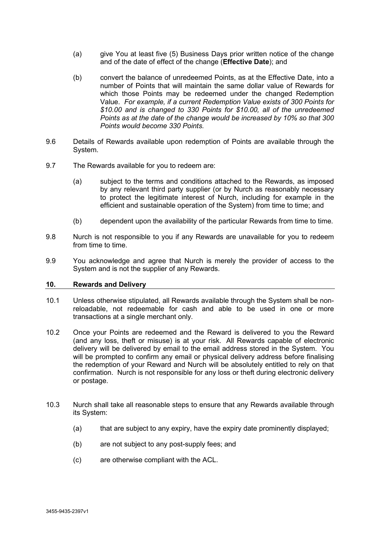- (a) give You at least five (5) Business Days prior written notice of the change and of the date of effect of the change (**Effective Date**); and
- (b) convert the balance of unredeemed Points, as at the Effective Date, into a number of Points that will maintain the same dollar value of Rewards for which those Points may be redeemed under the changed Redemption Value. *For example, if a current Redemption Value exists of 300 Points for \$10.00 and is changed to 330 Points for \$10.00, all of the unredeemed Points as at the date of the change would be increased by 10% so that 300 Points would become 330 Points.*
- 9.6 Details of Rewards available upon redemption of Points are available through the System.
- 9.7 The Rewards available for you to redeem are:
	- (a) subject to the terms and conditions attached to the Rewards, as imposed by any relevant third party supplier (or by Nurch as reasonably necessary to protect the legitimate interest of Nurch, including for example in the efficient and sustainable operation of the System) from time to time; and
	- (b) dependent upon the availability of the particular Rewards from time to time.
- 9.8 Nurch is not responsible to you if any Rewards are unavailable for you to redeem from time to time.
- 9.9 You acknowledge and agree that Nurch is merely the provider of access to the System and is not the supplier of any Rewards.

### <span id="page-9-0"></span>**10. Rewards and Delivery**

- 10.1 Unless otherwise stipulated, all Rewards available through the System shall be nonreloadable, not redeemable for cash and able to be used in one or more transactions at a single merchant only.
- 10.2 Once your Points are redeemed and the Reward is delivered to you the Reward (and any loss, theft or misuse) is at your risk. All Rewards capable of electronic delivery will be delivered by email to the email address stored in the System. You will be prompted to confirm any email or physical delivery address before finalising the redemption of your Reward and Nurch will be absolutely entitled to rely on that confirmation. Nurch is not responsible for any loss or theft during electronic delivery or postage.
- 10.3 Nurch shall take all reasonable steps to ensure that any Rewards available through its System:
	- (a) that are subject to any expiry, have the expiry date prominently displayed;
	- (b) are not subject to any post-supply fees; and
	- (c) are otherwise compliant with the ACL.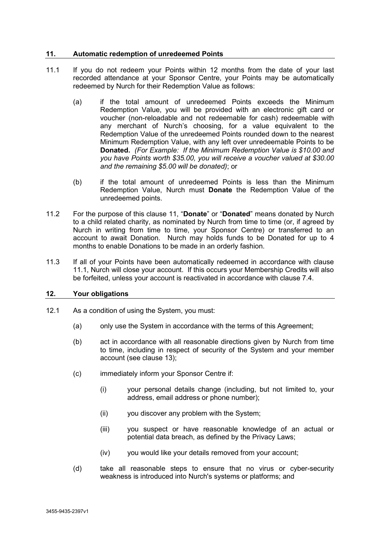# <span id="page-10-2"></span><span id="page-10-0"></span>**11. Automatic redemption of unredeemed Points**

- 11.1 If you do not redeem your Points within 12 months from the date of your last recorded attendance at your Sponsor Centre, your Points may be automatically redeemed by Nurch for their Redemption Value as follows:
	- (a) if the total amount of unredeemed Points exceeds the Minimum Redemption Value, you will be provided with an electronic gift card or voucher (non-reloadable and not redeemable for cash) redeemable with any merchant of Nurch's choosing, for a value equivalent to the Redemption Value of the unredeemed Points rounded down to the nearest Minimum Redemption Value, with any left over unredeemable Points to be **Donated.** *(For Example: If the Minimum Redemption Value is \$10.00 and you have Points worth \$35.00, you will receive a voucher valued at \$30.00 and the remaining \$5.00 will be donated)*; or
	- (b) if the total amount of unredeemed Points is less than the Minimum Redemption Value, Nurch must **Donate** the Redemption Value of the unredeemed points.
- 11.2 For the purpose of this clause [11,](#page-10-0) "**Donate**" or "**Donated**" means donated by Nurch to a child related charity, as nominated by Nurch from time to time (or, if agreed by Nurch in writing from time to time, your Sponsor Centre) or transferred to an account to await Donation. Nurch may holds funds to be Donated for up to 4 months to enable Donations to be made in an orderly fashion.
- 11.3 If all of your Points have been automatically redeemed in accordance with clause [11.1,](#page-10-2) Nurch will close your account. If this occurs your Membership Credits will also be forfeited, unless your account is reactivated in accordance with clause [7.4.](#page-6-2)

### <span id="page-10-1"></span>**12. Your obligations**

- 12.1 As a condition of using the System, you must:
	- (a) only use the System in accordance with the terms of this Agreement;
	- (b) act in accordance with all reasonable directions given by Nurch from time to time, including in respect of security of the System and your member account (see clause [13\)](#page-11-0);
	- (c) immediately inform your Sponsor Centre if:
		- (i) your personal details change (including, but not limited to, your address, email address or phone number);
		- (ii) you discover any problem with the System;
		- (iii) you suspect or have reasonable knowledge of an actual or potential data breach, as defined by the Privacy Laws;
		- (iv) you would like your details removed from your account;
	- (d) take all reasonable steps to ensure that no virus or cyber-security weakness is introduced into Nurch's systems or platforms; and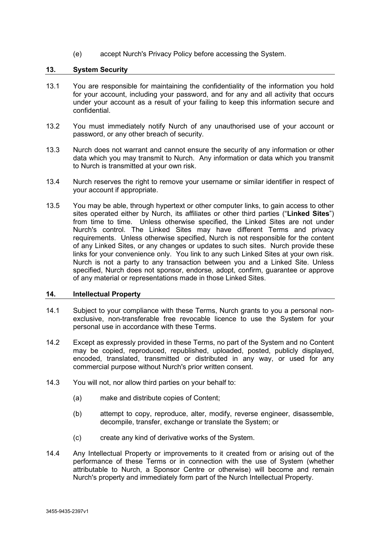(e) accept Nurch's Privacy Policy before accessing the System.

# <span id="page-11-0"></span>**13. System Security**

- 13.1 You are responsible for maintaining the confidentiality of the information you hold for your account, including your password, and for any and all activity that occurs under your account as a result of your failing to keep this information secure and confidential.
- 13.2 You must immediately notify Nurch of any unauthorised use of your account or password, or any other breach of security.
- 13.3 Nurch does not warrant and cannot ensure the security of any information or other data which you may transmit to Nurch. Any information or data which you transmit to Nurch is transmitted at your own risk.
- 13.4 Nurch reserves the right to remove your username or similar identifier in respect of your account if appropriate.
- 13.5 You may be able, through hypertext or other computer links, to gain access to other sites operated either by Nurch, its affiliates or other third parties ("**Linked Sites**") from time to time. Unless otherwise specified, the Linked Sites are not under Nurch's control. The Linked Sites may have different Terms and privacy requirements. Unless otherwise specified, Nurch is not responsible for the content of any Linked Sites, or any changes or updates to such sites. Nurch provide these links for your convenience only. You link to any such Linked Sites at your own risk. Nurch is not a party to any transaction between you and a Linked Site. Unless specified, Nurch does not sponsor, endorse, adopt, confirm, guarantee or approve of any material or representations made in those Linked Sites.

### <span id="page-11-1"></span>**14. Intellectual Property**

- 14.1 Subject to your compliance with these Terms, Nurch grants to you a personal nonexclusive, non-transferable free revocable licence to use the System for your personal use in accordance with these Terms.
- 14.2 Except as expressly provided in these Terms, no part of the System and no Content may be copied, reproduced, republished, uploaded, posted, publicly displayed, encoded, translated, transmitted or distributed in any way, or used for any commercial purpose without Nurch's prior written consent.
- 14.3 You will not, nor allow third parties on your behalf to:
	- (a) make and distribute copies of Content;
	- (b) attempt to copy, reproduce, alter, modify, reverse engineer, disassemble, decompile, transfer, exchange or translate the System; or
	- (c) create any kind of derivative works of the System.
- 14.4 Any Intellectual Property or improvements to it created from or arising out of the performance of these Terms or in connection with the use of System (whether attributable to Nurch, a Sponsor Centre or otherwise) will become and remain Nurch's property and immediately form part of the Nurch Intellectual Property.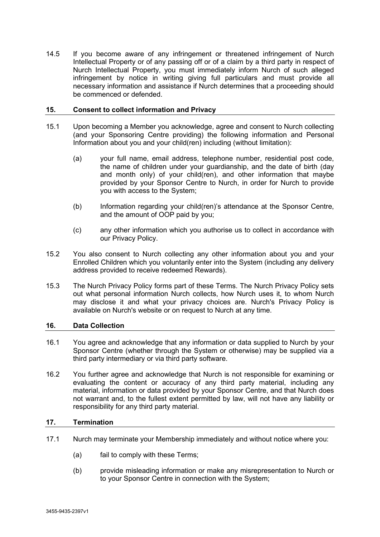14.5 If you become aware of any infringement or threatened infringement of Nurch Intellectual Property or of any passing off or of a claim by a third party in respect of Nurch Intellectual Property, you must immediately inform Nurch of such alleged infringement by notice in writing giving full particulars and must provide all necessary information and assistance if Nurch determines that a proceeding should be commenced or defended.

# <span id="page-12-0"></span>**15. Consent to collect information and Privacy**

- 15.1 Upon becoming a Member you acknowledge, agree and consent to Nurch collecting (and your Sponsoring Centre providing) the following information and Personal Information about you and your child(ren) including (without limitation):
	- (a) your full name, email address, telephone number, residential post code, the name of children under your guardianship, and the date of birth (day and month only) of your child(ren), and other information that maybe provided by your Sponsor Centre to Nurch, in order for Nurch to provide you with access to the System;
	- (b) Information regarding your child(ren)'s attendance at the Sponsor Centre, and the amount of OOP paid by you;
	- (c) any other information which you authorise us to collect in accordance with our Privacy Policy.
- 15.2 You also consent to Nurch collecting any other information about you and your Enrolled Children which you voluntarily enter into the System (including any delivery address provided to receive redeemed Rewards).
- 15.3 The Nurch Privacy Policy forms part of these Terms. The Nurch Privacy Policy sets out what personal information Nurch collects, how Nurch uses it, to whom Nurch may disclose it and what your privacy choices are. Nurch's Privacy Policy is available on Nurch's website or on request to Nurch at any time.

# <span id="page-12-1"></span>**16. Data Collection**

- 16.1 You agree and acknowledge that any information or data supplied to Nurch by your Sponsor Centre (whether through the System or otherwise) may be supplied via a third party intermediary or via third party software.
- 16.2 You further agree and acknowledge that Nurch is not responsible for examining or evaluating the content or accuracy of any third party material, including any material, information or data provided by your Sponsor Centre, and that Nurch does not warrant and, to the fullest extent permitted by law, will not have any liability or responsibility for any third party material.

# <span id="page-12-2"></span>**17. Termination**

- 17.1 Nurch may terminate your Membership immediately and without notice where you:
	- (a) fail to comply with these Terms;
	- (b) provide misleading information or make any misrepresentation to Nurch or to your Sponsor Centre in connection with the System;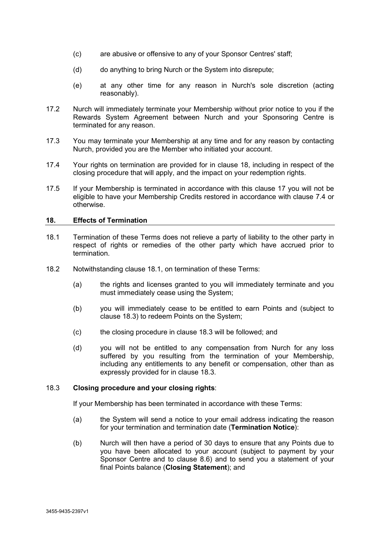- (c) are abusive or offensive to any of your Sponsor Centres' staff;
- (d) do anything to bring Nurch or the System into disrepute;
- (e) at any other time for any reason in Nurch's sole discretion (acting reasonably).
- 17.2 Nurch will immediately terminate your Membership without prior notice to you if the Rewards System Agreement between Nurch and your Sponsoring Centre is terminated for any reason.
- 17.3 You may terminate your Membership at any time and for any reason by contacting Nurch, provided you are the Member who initiated your account.
- <span id="page-13-3"></span>17.4 Your rights on termination are provided for in clause [18,](#page-13-0) including in respect of the closing procedure that will apply, and the impact on your redemption rights.
- 17.5 If your Membership is terminated in accordance with this clause [17](#page-12-2) you will not be eligible to have your Membership Credits restored in accordance with clause [7.4](#page-6-2) or otherwise.

# <span id="page-13-1"></span><span id="page-13-0"></span>**18. Effects of Termination**

- 18.1 Termination of these Terms does not relieve a party of liability to the other party in respect of rights or remedies of the other party which have accrued prior to termination.
- 18.2 Notwithstanding clause [18.1,](#page-13-1) on termination of these Terms:
	- (a) the rights and licenses granted to you will immediately terminate and you must immediately cease using the System;
	- (b) you will immediately cease to be entitled to earn Points and (subject to clause [18.3\)](#page-13-2) to redeem Points on the System;
	- (c) the closing procedure in clause [18.3](#page-13-2) will be followed; and
	- (d) you will not be entitled to any compensation from Nurch for any loss suffered by you resulting from the termination of your Membership, including any entitlements to any benefit or compensation, other than as expressly provided for in clause [18.3.](#page-13-2)

# <span id="page-13-2"></span>18.3 **Closing procedure and your closing rights**:

If your Membership has been terminated in accordance with these Terms:

- (a) the System will send a notice to your email address indicating the reason for your termination and termination date (**Termination Notice**):
- (b) Nurch will then have a period of 30 days to ensure that any Points due to you have been allocated to your account (subject to payment by your Sponsor Centre and to clause [8.6\)](#page-8-4) and to send you a statement of your final Points balance (**Closing Statement**); and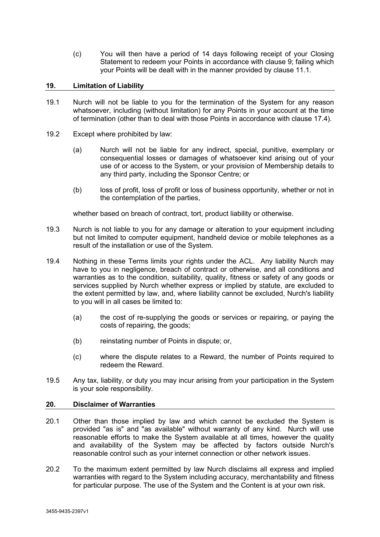(c) You will then have a period of 14 days following receipt of your Closing Statement to redeem your Points in accordance with clause [9;](#page-8-1) failing which your Points will be dealt with in the manner provided by clause [11.1.](#page-10-2)

# <span id="page-14-0"></span>**19. Limitation of Liability**

- 19.1 Nurch will not be liable to you for the termination of the System for any reason whatsoever, including (without limitation) for any Points in your account at the time of termination (other than to deal with those Points in accordance with clause [17.4\)](#page-13-3).
- 19.2 Except where prohibited by law:
	- (a) Nurch will not be liable for any indirect, special, punitive, exemplary or consequential losses or damages of whatsoever kind arising out of your use of or access to the System, or your provision of Membership details to any third party, including the Sponsor Centre; or
	- (b) loss of profit, loss of profit or loss of business opportunity, whether or not in the contemplation of the parties,

whether based on breach of contract, tort, product liability or otherwise.

- 19.3 Nurch is not liable to you for any damage or alteration to your equipment including but not limited to computer equipment, handheld device or mobile telephones as a result of the installation or use of the System.
- 19.4 Nothing in these Terms limits your rights under the ACL. Any liability Nurch may have to you in negligence, breach of contract or otherwise, and all conditions and warranties as to the condition, suitability, quality, fitness or safety of any goods or services supplied by Nurch whether express or implied by statute, are excluded to the extent permitted by law, and, where liability cannot be excluded, Nurch's liability to you will in all cases be limited to:
	- (a) the cost of re-supplying the goods or services or repairing, or paying the costs of repairing, the goods;
	- (b) reinstating number of Points in dispute; or,
	- (c) where the dispute relates to a Reward, the number of Points required to redeem the Reward.
- 19.5 Any tax, liability, or duty you may incur arising from your participation in the System is your sole responsibility.

### <span id="page-14-1"></span>**20. Disclaimer of Warranties**

- 20.1 Other than those implied by law and which cannot be excluded the System is provided "as is" and "as available" without warranty of any kind. Nurch will use reasonable efforts to make the System available at all times, however the quality and availability of the System may be affected by factors outside Nurch's reasonable control such as your internet connection or other network issues.
- 20.2 To the maximum extent permitted by law Nurch disclaims all express and implied warranties with regard to the System including accuracy, merchantability and fitness for particular purpose. The use of the System and the Content is at your own risk.